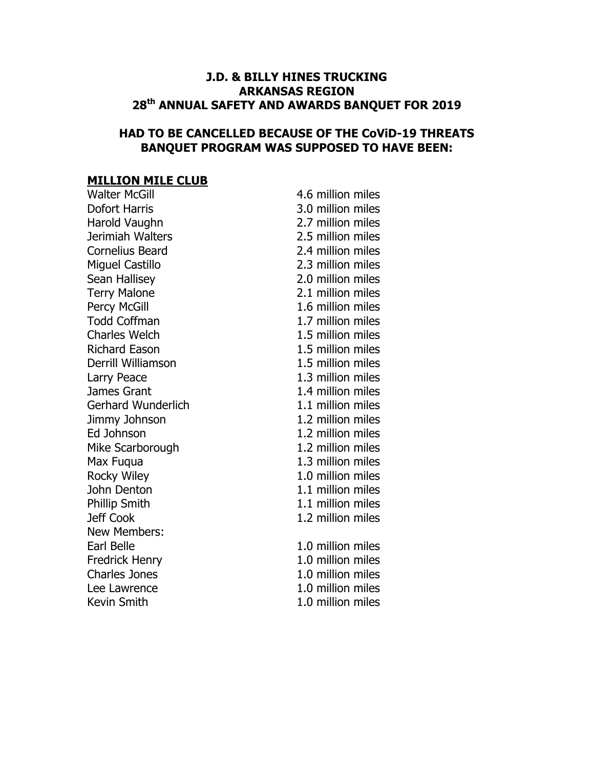#### J.D. & BILLY HINES TRUCKING ARKANSAS REGION 28<sup>th</sup> ANNUAL SAFETY AND AWARDS BANQUET FOR 2019

#### HAD TO BE CANCELLED BECAUSE OF THE CoViD-19 THREATS BANQUET PROGRAM WAS SUPPOSED TO HAVE BEEN:

# **MILLION MILE CLUB**

| <b>Walter McGill</b>      | 4.6 million miles |
|---------------------------|-------------------|
| <b>Dofort Harris</b>      | 3.0 million miles |
| Harold Vaughn             | 2.7 million miles |
| Jerimiah Walters          | 2.5 million miles |
| <b>Cornelius Beard</b>    | 2.4 million miles |
| <b>Miguel Castillo</b>    | 2.3 million miles |
| Sean Hallisey             | 2.0 million miles |
| <b>Terry Malone</b>       | 2.1 million miles |
| <b>Percy McGill</b>       | 1.6 million miles |
| <b>Todd Coffman</b>       | 1.7 million miles |
| <b>Charles Welch</b>      | 1.5 million miles |
| <b>Richard Eason</b>      | 1.5 million miles |
| Derrill Williamson        | 1.5 million miles |
| Larry Peace               | 1.3 million miles |
| James Grant               | 1.4 million miles |
| <b>Gerhard Wunderlich</b> | 1.1 million miles |
| Jimmy Johnson             | 1.2 million miles |
| Ed Johnson                | 1.2 million miles |
| Mike Scarborough          | 1.2 million miles |
| Max Fuqua                 | 1.3 million miles |
| Rocky Wiley               | 1.0 million miles |
| John Denton               | 1.1 million miles |
| <b>Phillip Smith</b>      | 1.1 million miles |
| Jeff Cook                 | 1.2 million miles |
| <b>New Members:</b>       |                   |
| Earl Belle                | 1.0 million miles |
| <b>Fredrick Henry</b>     | 1.0 million miles |
| <b>Charles Jones</b>      | 1.0 million miles |
| Lee Lawrence              | 1.0 million miles |
| <b>Kevin Smith</b>        | 1.0 million miles |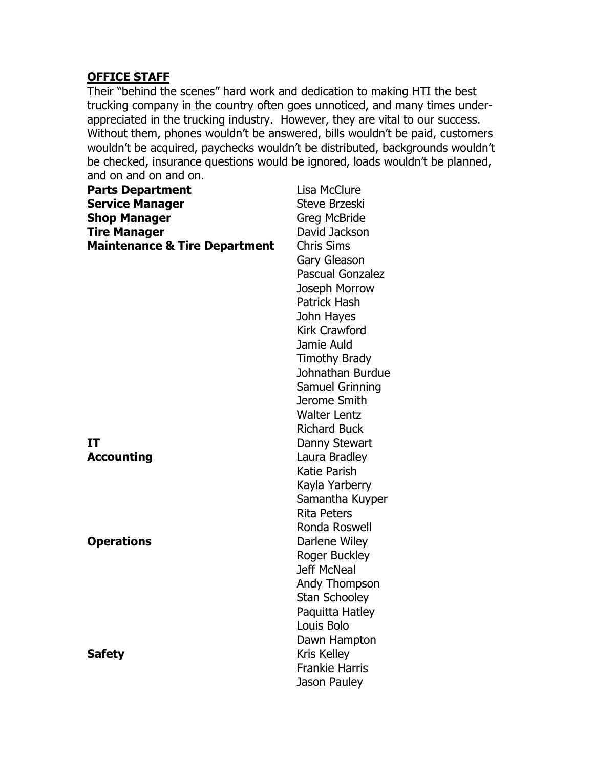#### OFFICE STAFF

Their "behind the scenes" hard work and dedication to making HTI the best trucking company in the country often goes unnoticed, and many times underappreciated in the trucking industry. However, they are vital to our success. Without them, phones wouldn't be answered, bills wouldn't be paid, customers wouldn't be acquired, paychecks wouldn't be distributed, backgrounds wouldn't be checked, insurance questions would be ignored, loads wouldn't be planned, and on and on and on.

| <b>Parts Department</b>                  | Lisa McClure            |
|------------------------------------------|-------------------------|
| <b>Service Manager</b>                   | <b>Steve Brzeski</b>    |
| <b>Shop Manager</b>                      | <b>Greg McBride</b>     |
| <b>Tire Manager</b>                      | David Jackson           |
| <b>Maintenance &amp; Tire Department</b> | <b>Chris Sims</b>       |
|                                          | Gary Gleason            |
|                                          | <b>Pascual Gonzalez</b> |
|                                          | Joseph Morrow           |
|                                          | <b>Patrick Hash</b>     |
|                                          | John Hayes              |
|                                          | <b>Kirk Crawford</b>    |
|                                          | Jamie Auld              |
|                                          | <b>Timothy Brady</b>    |
|                                          | Johnathan Burdue        |
|                                          | Samuel Grinning         |
|                                          | Jerome Smith            |
|                                          | <b>Walter Lentz</b>     |
|                                          | <b>Richard Buck</b>     |
| IT                                       | Danny Stewart           |
| <b>Accounting</b>                        | Laura Bradley           |
|                                          | <b>Katie Parish</b>     |
|                                          | Kayla Yarberry          |
|                                          | Samantha Kuyper         |
|                                          | <b>Rita Peters</b>      |
|                                          | Ronda Roswell           |
| <b>Operations</b>                        | Darlene Wiley           |
|                                          | Roger Buckley           |
|                                          | <b>Jeff McNeal</b>      |
|                                          | Andy Thompson           |
|                                          | <b>Stan Schooley</b>    |
|                                          | Paquitta Hatley         |
|                                          | Louis Bolo              |
|                                          | Dawn Hampton            |
| <b>Safety</b>                            | <b>Kris Kelley</b>      |
|                                          | <b>Frankie Harris</b>   |
|                                          | Jason Pauley            |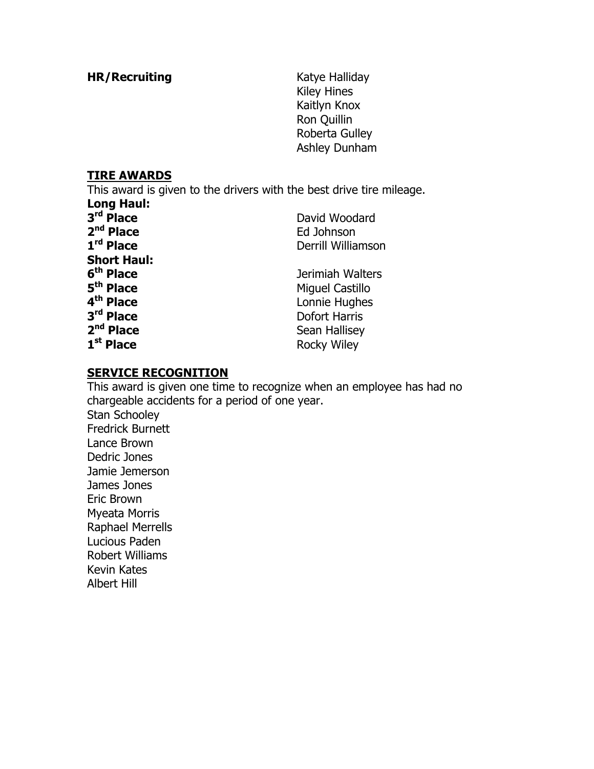HR/Recruiting Katye Halliday

Kiley Hines Kaitlyn Knox Ron Quillin Roberta Gulley Ashley Dunham

#### TIRE AWARDS

This award is given to the drivers with the best drive tire mileage. Long Haul:

| ----------<br>3rd Place<br>2 <sup>nd</sup> Place<br>1rd Place                                              | David Woodard<br>Ed Johnson<br>Derrill Williamson                            |
|------------------------------------------------------------------------------------------------------------|------------------------------------------------------------------------------|
| <b>Short Haul:</b><br>6 <sup>th</sup> Place<br>5 <sup>th</sup> Place<br>4 <sup>th</sup> Place<br>3rd Place | Jerimiah Walters<br>Miguel Castillo<br>Lonnie Hughes<br><b>Dofort Harris</b> |
| 2 <sup>nd</sup> Place<br>1 <sup>st</sup> Place                                                             | Sean Hallisey<br><b>Rocky Wiley</b>                                          |

#### SERVICE RECOGNITION

This award is given one time to recognize when an employee has had no chargeable accidents for a period of one year. Stan Schooley Fredrick Burnett Lance Brown Dedric Jones Jamie Jemerson James Jones Eric Brown Myeata Morris Raphael Merrells Lucious Paden Robert Williams Kevin Kates Albert Hill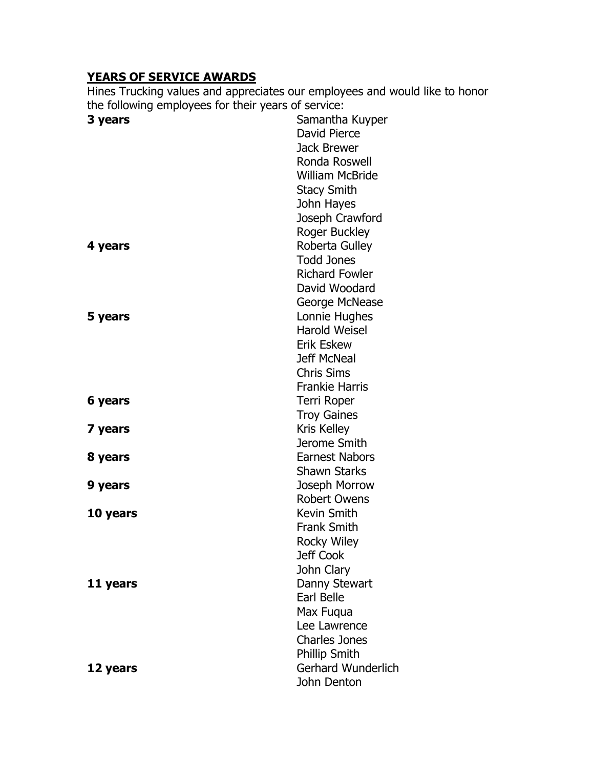## YEARS OF SERVICE AWARDS

Hines Trucking values and appreciates our employees and would like to honor the following employees for their years of service:

| 3 years  | Samantha Kuyper           |
|----------|---------------------------|
|          | David Pierce              |
|          | <b>Jack Brewer</b>        |
|          | Ronda Roswell             |
|          | <b>William McBride</b>    |
|          | <b>Stacy Smith</b>        |
|          | John Hayes                |
|          | Joseph Crawford           |
|          | <b>Roger Buckley</b>      |
| 4 years  | <b>Roberta Gulley</b>     |
|          | <b>Todd Jones</b>         |
|          | <b>Richard Fowler</b>     |
|          | David Woodard             |
|          | George McNease            |
| 5 years  | Lonnie Hughes             |
|          | <b>Harold Weisel</b>      |
|          | <b>Erik Eskew</b>         |
|          | <b>Jeff McNeal</b>        |
|          | <b>Chris Sims</b>         |
|          | <b>Frankie Harris</b>     |
| 6 years  | Terri Roper               |
|          | <b>Troy Gaines</b>        |
| 7 years  | <b>Kris Kelley</b>        |
|          | Jerome Smith              |
| 8 years  | <b>Earnest Nabors</b>     |
|          | <b>Shawn Starks</b>       |
| 9 years  | Joseph Morrow             |
|          | <b>Robert Owens</b>       |
| 10 years | Kevin Smith               |
|          | <b>Frank Smith</b>        |
|          | <b>Rocky Wiley</b>        |
|          | Jeff Cook                 |
|          | John Clary                |
| 11 years | Danny Stewart             |
|          | Earl Belle                |
|          | Max Fugua                 |
|          | Lee Lawrence              |
|          | <b>Charles Jones</b>      |
|          | <b>Phillip Smith</b>      |
| 12 years | <b>Gerhard Wunderlich</b> |
|          | John Denton               |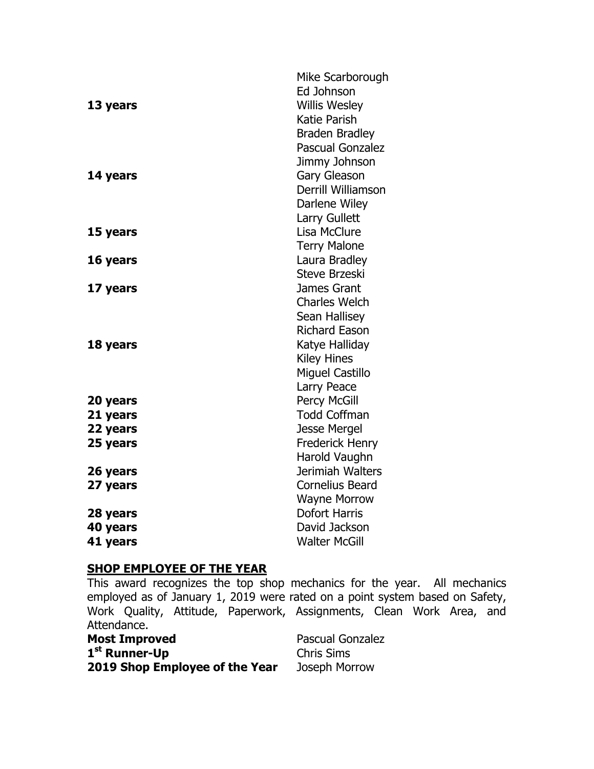| 13 years<br>14 years | Mike Scarborough<br>Ed Johnson<br><b>Willis Wesley</b><br>Katie Parish<br><b>Braden Bradley</b><br><b>Pascual Gonzalez</b><br>Jimmy Johnson<br><b>Gary Gleason</b><br>Derrill Williamson<br>Darlene Wiley<br>Larry Gullett |
|----------------------|----------------------------------------------------------------------------------------------------------------------------------------------------------------------------------------------------------------------------|
| 15 years             | Lisa McClure<br><b>Terry Malone</b>                                                                                                                                                                                        |
| 16 years             | Laura Bradley<br><b>Steve Brzeski</b>                                                                                                                                                                                      |
| 17 years             | James Grant<br><b>Charles Welch</b><br><b>Sean Hallisey</b>                                                                                                                                                                |
| 18 years             | <b>Richard Eason</b><br>Katye Halliday<br><b>Kiley Hines</b><br><b>Miguel Castillo</b><br>Larry Peace                                                                                                                      |
| 20 years             | <b>Percy McGill</b>                                                                                                                                                                                                        |
| 21 years             | <b>Todd Coffman</b>                                                                                                                                                                                                        |
| 22 years             | Jesse Mergel                                                                                                                                                                                                               |
| 25 years             | <b>Frederick Henry</b><br>Harold Vaughn                                                                                                                                                                                    |
| 26 years<br>27 years | Jerimiah Walters<br><b>Cornelius Beard</b><br><b>Wayne Morrow</b>                                                                                                                                                          |
| 28 years             | <b>Dofort Harris</b>                                                                                                                                                                                                       |
| 40 years<br>41 years | David Jackson<br><b>Walter McGill</b>                                                                                                                                                                                      |

## **SHOP EMPLOYEE OF THE YEAR**

This award recognizes the top shop mechanics for the year. All mechanics employed as of January 1, 2019 were rated on a point system based on Safety, Work Quality, Attitude, Paperwork, Assignments, Clean Work Area, and Attendance.

| <b>Most Improved</b>           | <b>Pascual Gonzalez</b> |
|--------------------------------|-------------------------|
| 1 <sup>st</sup> Runner-Up      | <b>Chris Sims</b>       |
| 2019 Shop Employee of the Year | Joseph Morrow           |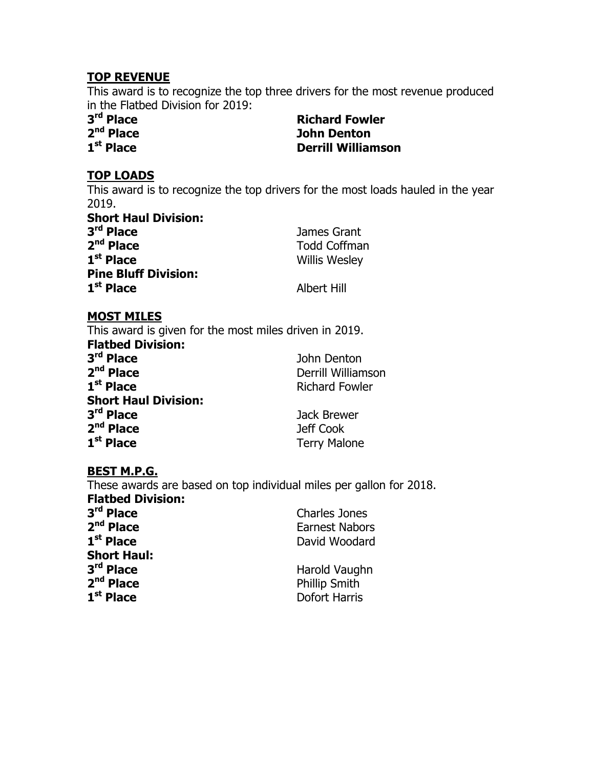#### TOP REVENUE

This award is to recognize the top three drivers for the most revenue produced in the Flatbed Division for 2019:

3rd Place  $2<sup>nd</sup>$  Place  $1<sup>st</sup>$  Place

**Richard Fowler** John Denton **Derrill Williamson** 

#### TOP LOADS

This award is to recognize the top drivers for the most loads hauled in the year  $2019.$ Short Haul Division:

| Short Haul Division:        |                      |
|-----------------------------|----------------------|
| 3 <sup>rd</sup> Place       | James Grant          |
| $2nd$ Place                 | <b>Todd Coffman</b>  |
| $1st$ Place                 | <b>Willis Wesley</b> |
| <b>Pine Bluff Division:</b> |                      |
| 1 <sup>st</sup> Place       | <b>Albert Hill</b>   |

#### MOST MILES

This award is given for the most miles driven in 2019. Flatbed Division: 3<sup>rd</sup> Place John Denton  $2<sup>nd</sup>$  Place Derrill Williamson  $1<sup>st</sup>$  Place Richard Fowler Short Haul Division: 3rd Place Jack Brewer 2<sup>nd</sup> Place **Jeff Cook**  $1<sup>st</sup>$  Place Terry Malone

#### BEST M.P.G.

These awards are based on top individual miles per gallon for 2018. Flatbed Division:

| 3 <sup>rd</sup> Place | <b>Charles Jones</b>  |
|-----------------------|-----------------------|
| 2 <sup>nd</sup> Place | <b>Earnest Nabors</b> |
| 1 <sup>st</sup> Place | David Woodard         |
| <b>Short Haul:</b>    |                       |
| 3 <sup>rd</sup> Place | Harold Vaughn         |
| 2 <sup>nd</sup> Place | <b>Phillip Smith</b>  |
| 1 <sup>st</sup> Place | <b>Dofort Harris</b>  |
|                       |                       |